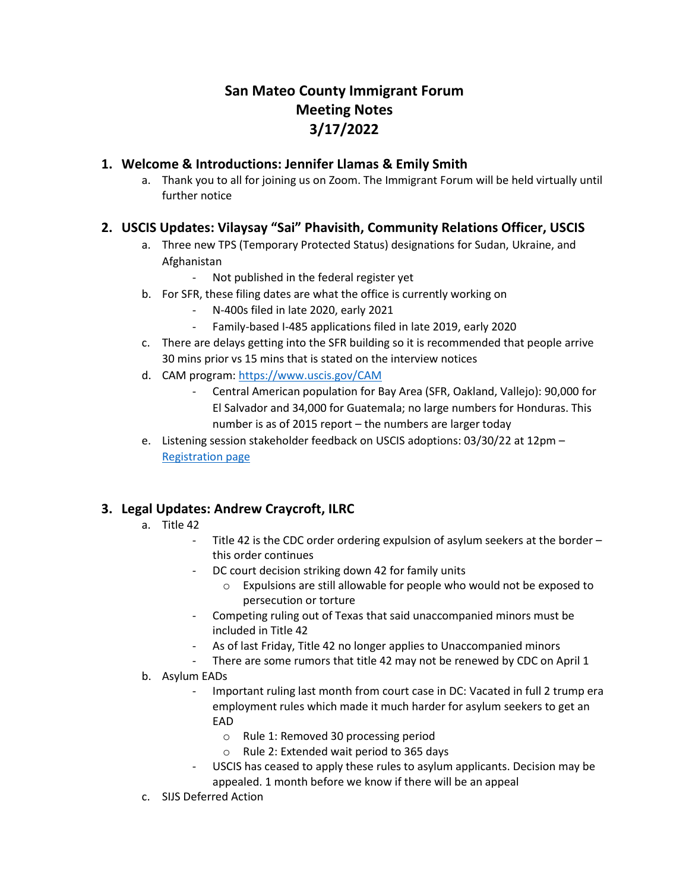# **San Mateo County Immigrant Forum Meeting Notes 3/17/2022**

### **1. Welcome & Introductions: Jennifer Llamas & Emily Smith**

a. Thank you to all for joining us on Zoom. The Immigrant Forum will be held virtually until further notice

## **2. USCIS Updates: Vilaysay "Sai" Phavisith, Community Relations Officer, USCIS**

- a. Three new TPS (Temporary Protected Status) designations for Sudan, Ukraine, and Afghanistan
	- Not published in the federal register yet
- b. For SFR, these filing dates are what the office is currently working on
	- N-400s filed in late 2020, early 2021
	- Family-based I-485 applications filed in late 2019, early 2020
- c. There are delays getting into the SFR building so it is recommended that people arrive 30 mins prior vs 15 mins that is stated on the interview notices
- d. CAM program: [https://www.uscis.gov/CAM](https://protect-us.mimecast.com/s/zW9gCyPA9lInlDAqtZexEM)
	- Central American population for Bay Area (SFR, Oakland, Vallejo): 90,000 for El Salvador and 34,000 for Guatemala; no large numbers for Honduras. This number is as of 2015 report – the numbers are larger today
- e. Listening session stakeholder feedback on USCIS adoptions: 03/30/22 at 12pm [Registration page](https://gcc02.safelinks.protection.outlook.com/?url=https%3A%2F%2Flnks.gd%2Fl%2FeyJhbGciOiJIUzI1NiJ9.eyJidWxsZXRpbl9saW5rX2lkIjoxMDMsInVyaSI6ImJwMjpjbGljayIsImJ1bGxldGluX2lkIjoiMjAyMjAzMTYuNTQ5OTY4NzEiLCJ1cmwiOiJodHRwczovL3B1YmxpYy5nb3ZkZWxpdmVyeS5jb20vYWNjb3VudHMvVVNESFNDSVMvc3Vic2NyaWJlci9uZXc_dG9waWNfaWQ9VVNESFNDSVNfNTYwIn0.RDmt6uKqYBKTOOFIm0-QmBsP9yAzdIy70zwtHxUFX_Q%2Fs%2F2132116149%2Fbr%2F128198223188-l&data=04%7C01%7Cvilaysay.phavisith%40uscis.dhs.gov%7Cfb68fdb2e26c465854c008da0760c08a%7C5e41ee740d2d4a728975998ce83205eb%7C0%7C0%7C637830409372310040%7CUnknown%7CTWFpbGZsb3d8eyJWIjoiMC4wLjAwMDAiLCJQIjoiV2luMzIiLCJBTiI6Ik1haWwiLCJXVCI6Mn0%3D%7C3000&sdata=5GzU3wBZFNvabIZXpnPt76GNbFvLsji37y0VFHLE2HQ%3D&reserved=0)

## **3. Legal Updates: Andrew Craycroft, ILRC**

#### a. Title 42

- Title 42 is the CDC order ordering expulsion of asylum seekers at the border this order continues
- DC court decision striking down 42 for family units
	- o Expulsions are still allowable for people who would not be exposed to persecution or torture
- Competing ruling out of Texas that said unaccompanied minors must be included in Title 42
- As of last Friday, Title 42 no longer applies to Unaccompanied minors
- There are some rumors that title 42 may not be renewed by CDC on April 1
- b. Asylum EADs
	- Important ruling last month from court case in DC: Vacated in full 2 trump era employment rules which made it much harder for asylum seekers to get an EAD
		- o Rule 1: Removed 30 processing period
		- o Rule 2: Extended wait period to 365 days
	- USCIS has ceased to apply these rules to asylum applicants. Decision may be appealed. 1 month before we know if there will be an appeal
- c. SIJS Deferred Action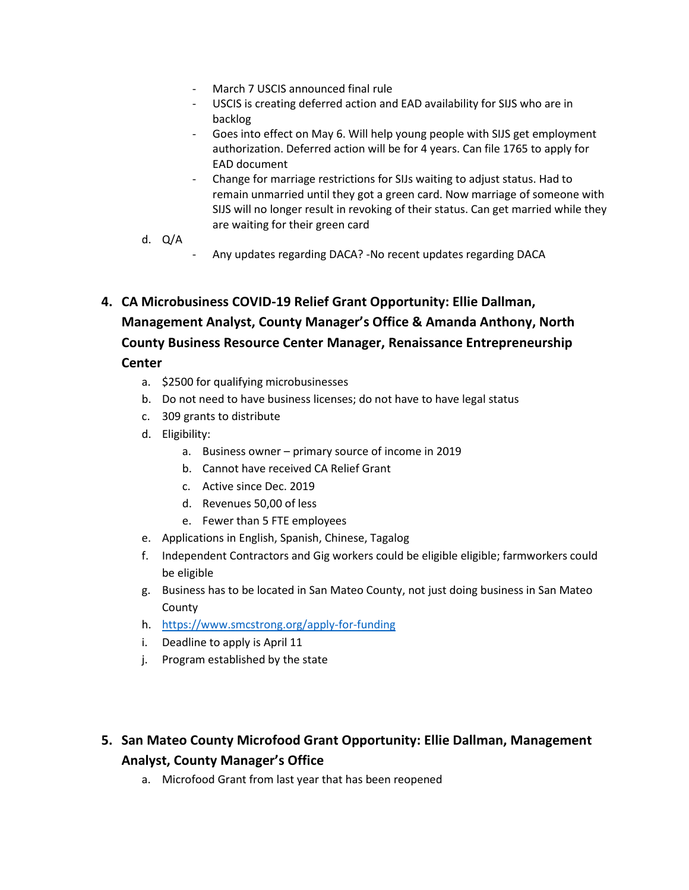- March 7 USCIS announced final rule
- USCIS is creating deferred action and EAD availability for SIJS who are in backlog
- Goes into effect on May 6. Will help young people with SIJS get employment authorization. Deferred action will be for 4 years. Can file 1765 to apply for EAD document
- Change for marriage restrictions for SIJs waiting to adjust status. Had to remain unmarried until they got a green card. Now marriage of someone with SIJS will no longer result in revoking of their status. Can get married while they are waiting for their green card
- d. Q/A
	- Any updates regarding DACA? -No recent updates regarding DACA
- **4. CA Microbusiness COVID-19 Relief Grant Opportunity: Ellie Dallman, Management Analyst, County Manager's Office & Amanda Anthony, North County Business Resource Center Manager, Renaissance Entrepreneurship Center**
	- a. \$2500 for qualifying microbusinesses
	- b. Do not need to have business licenses; do not have to have legal status
	- c. 309 grants to distribute
	- d. Eligibility:
		- a. Business owner primary source of income in 2019
		- b. Cannot have received CA Relief Grant
		- c. Active since Dec. 2019
		- d. Revenues 50,00 of less
		- e. Fewer than 5 FTE employees
	- e. Applications in English, Spanish, Chinese, Tagalog
	- f. Independent Contractors and Gig workers could be eligible eligible; farmworkers could be eligible
	- g. Business has to be located in San Mateo County, not just doing business in San Mateo County
	- h. <https://www.smcstrong.org/apply-for-funding>
	- i. Deadline to apply is April 11
	- j. Program established by the state

## **5. San Mateo County Microfood Grant Opportunity: Ellie Dallman, Management Analyst, County Manager's Office**

a. Microfood Grant from last year that has been reopened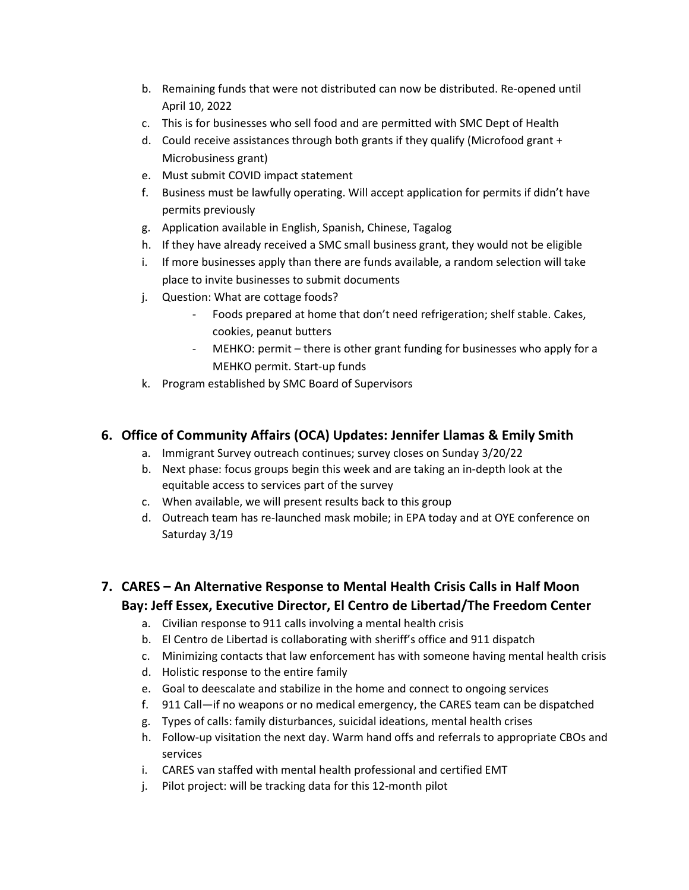- b. Remaining funds that were not distributed can now be distributed. Re-opened until April 10, 2022
- c. This is for businesses who sell food and are permitted with SMC Dept of Health
- d. Could receive assistances through both grants if they qualify (Microfood grant + Microbusiness grant)
- e. Must submit COVID impact statement
- f. Business must be lawfully operating. Will accept application for permits if didn't have permits previously
- g. Application available in English, Spanish, Chinese, Tagalog
- h. If they have already received a SMC small business grant, they would not be eligible
- i. If more businesses apply than there are funds available, a random selection will take place to invite businesses to submit documents
- j. Question: What are cottage foods?
	- Foods prepared at home that don't need refrigeration; shelf stable. Cakes, cookies, peanut butters
	- MEHKO: permit there is other grant funding for businesses who apply for a MEHKO permit. Start-up funds
- k. Program established by SMC Board of Supervisors

## **6. Office of Community Affairs (OCA) Updates: Jennifer Llamas & Emily Smith**

- a. Immigrant Survey outreach continues; survey closes on Sunday 3/20/22
- b. Next phase: focus groups begin this week and are taking an in-depth look at the equitable access to services part of the survey
- c. When available, we will present results back to this group
- d. Outreach team has re-launched mask mobile; in EPA today and at OYE conference on Saturday 3/19

# **7. CARES – An Alternative Response to Mental Health Crisis Calls in Half Moon Bay: Jeff Essex, Executive Director, El Centro de Libertad/The Freedom Center**

- a. Civilian response to 911 calls involving a mental health crisis
- b. El Centro de Libertad is collaborating with sheriff's office and 911 dispatch
- c. Minimizing contacts that law enforcement has with someone having mental health crisis
- d. Holistic response to the entire family
- e. Goal to deescalate and stabilize in the home and connect to ongoing services
- f. 911 Call—if no weapons or no medical emergency, the CARES team can be dispatched
- g. Types of calls: family disturbances, suicidal ideations, mental health crises
- h. Follow-up visitation the next day. Warm hand offs and referrals to appropriate CBOs and services
- i. CARES van staffed with mental health professional and certified EMT
- j. Pilot project: will be tracking data for this 12-month pilot